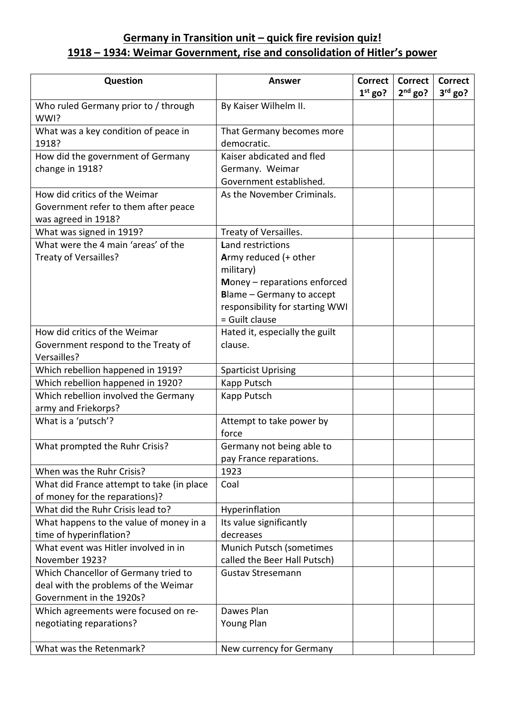## **Germany in Transition unit – quick fire revision quiz! 1918 – 1934: Weimar Government, rise and consolidation of Hitler's power**

| Question                                                                                                 | <b>Answer</b>                                                                                                                                                                    | <b>Correct</b><br>$1st$ go? | <b>Correct</b><br>$2nd$ go? | <b>Correct</b><br>$3rd$ go? |
|----------------------------------------------------------------------------------------------------------|----------------------------------------------------------------------------------------------------------------------------------------------------------------------------------|-----------------------------|-----------------------------|-----------------------------|
| Who ruled Germany prior to / through<br>WWI?                                                             | By Kaiser Wilhelm II.                                                                                                                                                            |                             |                             |                             |
| What was a key condition of peace in<br>1918?                                                            | That Germany becomes more<br>democratic.                                                                                                                                         |                             |                             |                             |
| How did the government of Germany<br>change in 1918?                                                     | Kaiser abdicated and fled<br>Germany. Weimar<br>Government established.                                                                                                          |                             |                             |                             |
| How did critics of the Weimar<br>Government refer to them after peace<br>was agreed in 1918?             | As the November Criminals.                                                                                                                                                       |                             |                             |                             |
| What was signed in 1919?                                                                                 | Treaty of Versailles.                                                                                                                                                            |                             |                             |                             |
| What were the 4 main 'areas' of the<br>Treaty of Versailles?                                             | Land restrictions<br>Army reduced (+ other<br>military)<br>Money - reparations enforced<br><b>Blame - Germany to accept</b><br>responsibility for starting WWI<br>= Guilt clause |                             |                             |                             |
| How did critics of the Weimar<br>Government respond to the Treaty of<br>Versailles?                      | Hated it, especially the guilt<br>clause.                                                                                                                                        |                             |                             |                             |
| Which rebellion happened in 1919?                                                                        | <b>Sparticist Uprising</b>                                                                                                                                                       |                             |                             |                             |
| Which rebellion happened in 1920?                                                                        | Kapp Putsch                                                                                                                                                                      |                             |                             |                             |
| Which rebellion involved the Germany<br>army and Friekorps?                                              | Kapp Putsch                                                                                                                                                                      |                             |                             |                             |
| What is a 'putsch'?                                                                                      | Attempt to take power by<br>force                                                                                                                                                |                             |                             |                             |
| What prompted the Ruhr Crisis?                                                                           | Germany not being able to<br>pay France reparations.                                                                                                                             |                             |                             |                             |
| When was the Ruhr Crisis?                                                                                | 1923                                                                                                                                                                             |                             |                             |                             |
| What did France attempt to take (in place<br>of money for the reparations)?                              | Coal                                                                                                                                                                             |                             |                             |                             |
| What did the Ruhr Crisis lead to?                                                                        | Hyperinflation                                                                                                                                                                   |                             |                             |                             |
| What happens to the value of money in a<br>time of hyperinflation?                                       | Its value significantly<br>decreases                                                                                                                                             |                             |                             |                             |
| What event was Hitler involved in in<br>November 1923?                                                   | Munich Putsch (sometimes<br>called the Beer Hall Putsch)                                                                                                                         |                             |                             |                             |
| Which Chancellor of Germany tried to<br>deal with the problems of the Weimar<br>Government in the 1920s? | <b>Gustav Stresemann</b>                                                                                                                                                         |                             |                             |                             |
| Which agreements were focused on re-<br>negotiating reparations?                                         | Dawes Plan<br>Young Plan                                                                                                                                                         |                             |                             |                             |
| What was the Retenmark?                                                                                  | New currency for Germany                                                                                                                                                         |                             |                             |                             |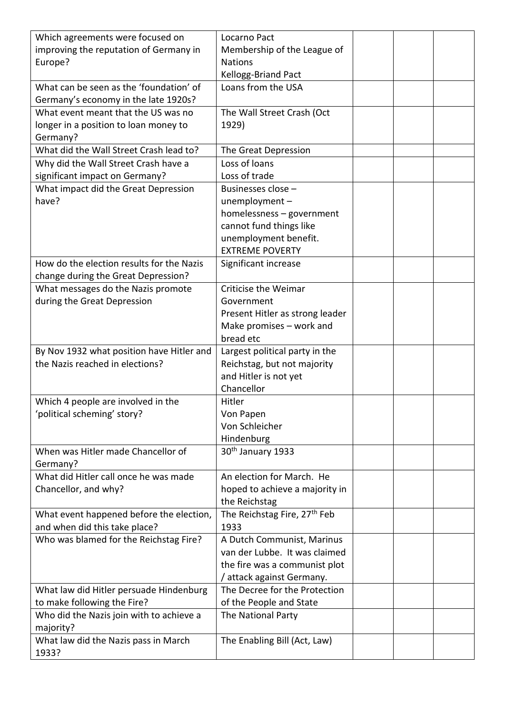| Which agreements were focused on                                                | Locarno Pact                                                |  |  |
|---------------------------------------------------------------------------------|-------------------------------------------------------------|--|--|
| improving the reputation of Germany in                                          | Membership of the League of                                 |  |  |
| Europe?                                                                         | <b>Nations</b>                                              |  |  |
|                                                                                 | Kellogg-Briand Pact                                         |  |  |
| What can be seen as the 'foundation' of<br>Germany's economy in the late 1920s? | Loans from the USA                                          |  |  |
| What event meant that the US was no                                             | The Wall Street Crash (Oct                                  |  |  |
| longer in a position to loan money to                                           | 1929)                                                       |  |  |
| Germany?                                                                        |                                                             |  |  |
| What did the Wall Street Crash lead to?                                         | The Great Depression                                        |  |  |
| Why did the Wall Street Crash have a                                            | Loss of loans                                               |  |  |
| significant impact on Germany?                                                  | Loss of trade                                               |  |  |
| What impact did the Great Depression                                            | Businesses close -                                          |  |  |
| have?                                                                           | unemployment-                                               |  |  |
|                                                                                 | homelessness - government                                   |  |  |
|                                                                                 | cannot fund things like                                     |  |  |
|                                                                                 | unemployment benefit.                                       |  |  |
|                                                                                 | <b>EXTREME POVERTY</b>                                      |  |  |
| How do the election results for the Nazis                                       | Significant increase                                        |  |  |
| change during the Great Depression?                                             |                                                             |  |  |
| What messages do the Nazis promote                                              | Criticise the Weimar                                        |  |  |
| during the Great Depression                                                     | Government                                                  |  |  |
|                                                                                 | Present Hitler as strong leader                             |  |  |
|                                                                                 | Make promises - work and                                    |  |  |
|                                                                                 | bread etc                                                   |  |  |
| By Nov 1932 what position have Hitler and                                       | Largest political party in the                              |  |  |
| the Nazis reached in elections?                                                 | Reichstag, but not majority                                 |  |  |
|                                                                                 | and Hitler is not yet                                       |  |  |
|                                                                                 | Chancellor                                                  |  |  |
| Which 4 people are involved in the                                              | Hitler                                                      |  |  |
| 'political scheming' story?                                                     | Von Papen                                                   |  |  |
|                                                                                 | Von Schleicher                                              |  |  |
|                                                                                 | Hindenburg                                                  |  |  |
| When was Hitler made Chancellor of                                              | 30 <sup>th</sup> January 1933                               |  |  |
| Germany?                                                                        |                                                             |  |  |
| What did Hitler call once he was made                                           | An election for March. He                                   |  |  |
| Chancellor, and why?                                                            | hoped to achieve a majority in                              |  |  |
|                                                                                 | the Reichstag                                               |  |  |
| What event happened before the election,                                        | The Reichstag Fire, 27 <sup>th</sup> Feb                    |  |  |
| and when did this take place?                                                   | 1933                                                        |  |  |
| Who was blamed for the Reichstag Fire?                                          | A Dutch Communist, Marinus<br>van der Lubbe. It was claimed |  |  |
|                                                                                 |                                                             |  |  |
|                                                                                 | the fire was a communist plot                               |  |  |
| What law did Hitler persuade Hindenburg                                         | / attack against Germany.<br>The Decree for the Protection  |  |  |
| to make following the Fire?                                                     | of the People and State                                     |  |  |
| Who did the Nazis join with to achieve a                                        | The National Party                                          |  |  |
| majority?                                                                       |                                                             |  |  |
| What law did the Nazis pass in March                                            | The Enabling Bill (Act, Law)                                |  |  |
| 1933?                                                                           |                                                             |  |  |
|                                                                                 |                                                             |  |  |